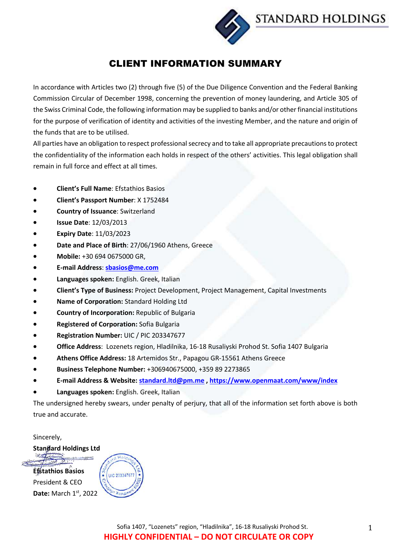**STANDARD HOLDINGS** 

# CLIENT INFORMATION SUMMARY

In accordance with Articles two (2) through five (5) of the Due Diligence Convention and the Federal Banking Commission Circular of December 1998, concerning the prevention of money laundering, and Article 305 of the Swiss Criminal Code, the following information may be supplied to banks and/or other financial institutions for the purpose of verification of identity and activities of the investing Member, and the nature and origin of the funds that are to be utilised.

All parties have an obligation to respect professional secrecy and to take all appropriate precautions to protect the confidentiality of the information each holds in respect of the others' activities. This legal obligation shall remain in full force and effect at all times.

- **Client's Full Name**: Efstathios Basios
- **Client's Passport Number**: X 1752484
- **Country of Issuance**: Switzerland
- **Issue Date**: 12/03/2013
- **Expiry Date**: 11/03/2023
- **Date and Place of Birth**: 27/06/1960 Athens, Greece
- **Mobile:** +30 694 0675000 GR,
- **E-mail Address**: **sbasios@me.com**
- **Languages spoken:** English. Greek, Italian
- **Client's Type of Business:** Project Development, Project Management, Capital Investments
- **Name of Corporation:** Standard Holding Ltd
- **Country of Incorporation:** Republic of Bulgaria
- **Registered of Corporation:** Sofia Bulgaria
- **Registration Number:** UIC / PIC 203347677
- **Office Address**: Lozenets region, Hladilnika, 16-18 Rusaliyski Prohod St. Sofia 1407 Bulgaria
- **Athens Office Address:** 18 Artemidos Str., Papagou GR-15561 Athens Greece
- **Business Telephone Number:** +306940675000, +359 89 2273865
- **E-mail Address & Website: standard.ltd@pm.me , https://www.openmaat.com/www/index**
- **Languages spoken:** English. Greek, Italian

The undersigned hereby swears, under penalty of perjury, that all of the information set forth above is both true and accurate.

Sincerely,

**Standard Holdings Ltd**

**Efstathios Basios** President & CEO **Date:** March 1st, 2022

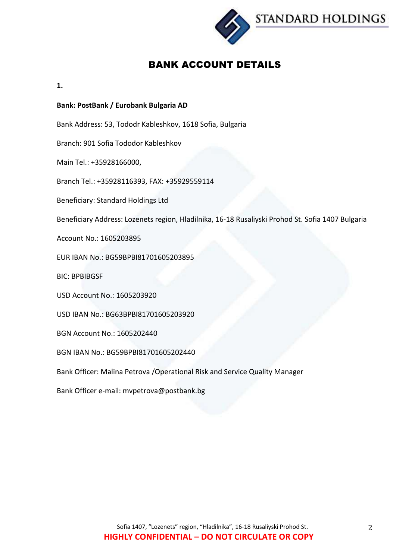

# BANK ACCOUNT DETAILS

**1.** 

## **Bank: PostBank / Eurobank Bulgaria AD**

Bank Address: 53, Tododr Kableshkov, 1618 Sofia, Bulgaria

Branch: 901 Sofia Tododor Kableshkov

Main Tel.: +35928166000,

Branch Tel.: +35928116393, FAX: +35929559114

Beneficiary: Standard Holdings Ltd

Beneficiary Address: Lozenets region, Hladilnika, 16-18 Rusaliyski Prohod St. Sofia 1407 Bulgaria

Account No.: 1605203895

EUR IBAN No.: BG59BPBI81701605203895

BIC: BPBIBGSF

USD Account No.: 1605203920

USD IBAN No.: BG63BPBI81701605203920

BGN Account No.: 1605202440

BGN IBAN No.: BG59BPBI81701605202440

Bank Officer: Malina Petrova /Operational Risk and Service Quality Manager

Bank Officer e-mail: mvpetrova@postbank.bg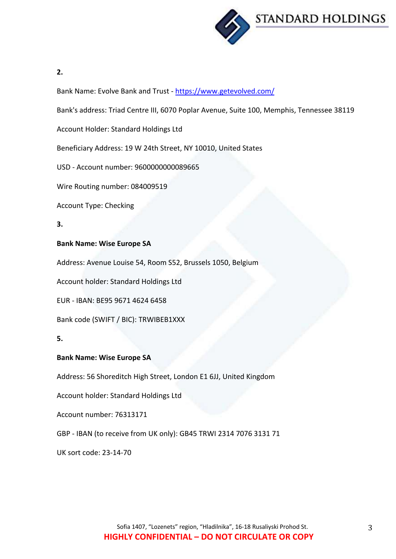

**2.**

Bank Name: Evolve Bank and Trust - https://www.getevolved.com/

Bank's address: Triad Centre III, 6070 Poplar Avenue, Suite 100, Memphis, Tennessee 38119

Account Holder: Standard Holdings Ltd

Beneficiary Address: 19 W 24th Street, NY 10010, United States

USD - Account number: 9600000000089665

Wire Routing number: 084009519

Account Type: Checking

**3.**

## **Bank Name: Wise Europe SA**

Address: Avenue Louise 54, Room S52, Brussels 1050, Belgium

Account holder: Standard Holdings Ltd

EUR - IBAN: BE95 9671 4624 6458

Bank code (SWIFT / BIC): TRWIBEB1XXX

**5.**

### **Bank Name: Wise Europe SA**

Address: 56 Shoreditch High Street, London E1 6JJ, United Kingdom

Account holder: Standard Holdings Ltd

Account number: 76313171

GBP - IBAN (to receive from UK only): GB45 TRWI 2314 7076 3131 71

UK sort code: 23-14-70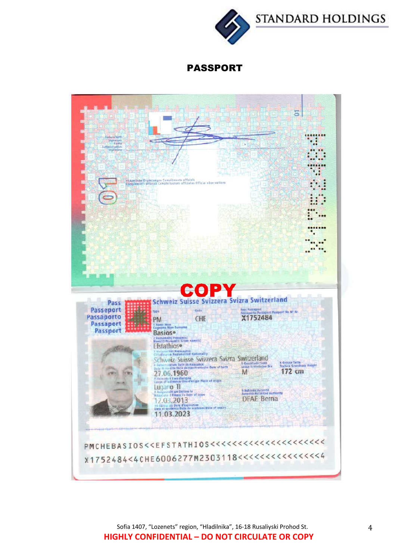**STANDARD HOLDINGS** 



PASSPORT



Sofia 1407, "Lozenets" region, "Hladilnika", 16-18 Rusaliyski Prohod St. **HIGHLY CONFIDENTIAL – DO NOT CIRCULATE OR COPY**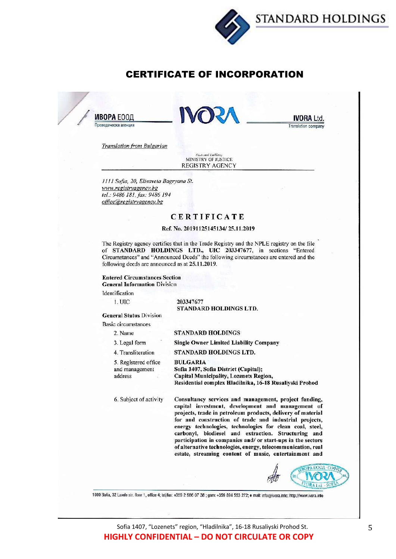



## **CERTIFICATE OF INCORPORATION**

**ИВОРА** ЕООЛ Преводаческа агенция



IVORA I td. Translation company

**Translation from Bulgarian** 

(Notional Eurbletty)<br>MINISTRY OF JUSTICE **REGISTRY AGENCY** 

1111 Sofia, 20, Elisaveta Bagryana St. www.registryagency.bg tel.: 9486 181, fax: 9486 194 office@registryagency.bg

### **CERTIFICATE**

#### Ref. No. 20191125145134/25.11.2019

The Registry agency certifies that in the Trade Registry and the NPLE registry on the file<br>of STANDARD HOLDINGS LTD., UIC 203347677, in sections "Entered Circumstances" and "Announced Deeds" the following circumstances are entered and the following deeds are announced as at 25.11.2019.

**Entered Circumstances Section General Information Division** 

Identification

1. UIC

203347677 **STANDARD HOLDINGS LTD.** 

**General Status Division** 

**Basic circumstances** 2. Name

3. Legal form

#### **STANDARD HOLDINGS**

**Single Owner Limited Liability Company** 

STANDARD HOLDINGS LTD. 4. Transliteration

5. Registered office and management address

**BULGARIA** Sofia 1407, Sofia District (Capital); Capital Municipality, Lozenets Region, Residential complex Hladilnika, 16-18 Rusaliyski Prohod

6. Subject of activity

Consultancy services and management, project funding, capital investment, development and management of projects, trade in petroleum products, delivery of material for and construction of trade and industrial projects, energy technologies, technologies for clean coal, steel, carbonyl, biodiesel and extraction. Structuring and participation in companies and/ or start-ups in the sectors of alternative technologies, energy, telecommunication, real estate, streaming content of music, entertainment and



1000 Sofia, 32 Lavele str. floor 1, office 4; tel/fax: +359 2 986 07 38 ; gsm: +359 894 553 272; e mail: info@ivora.info; http://www.ivora.info

Sofia 1407, "Lozenets" region, "Hladilnika", 16-18 Rusaliyski Prohod St. **HIGHLY CONFIDENTIAL - DO NOT CIRCULATE OR COPY**